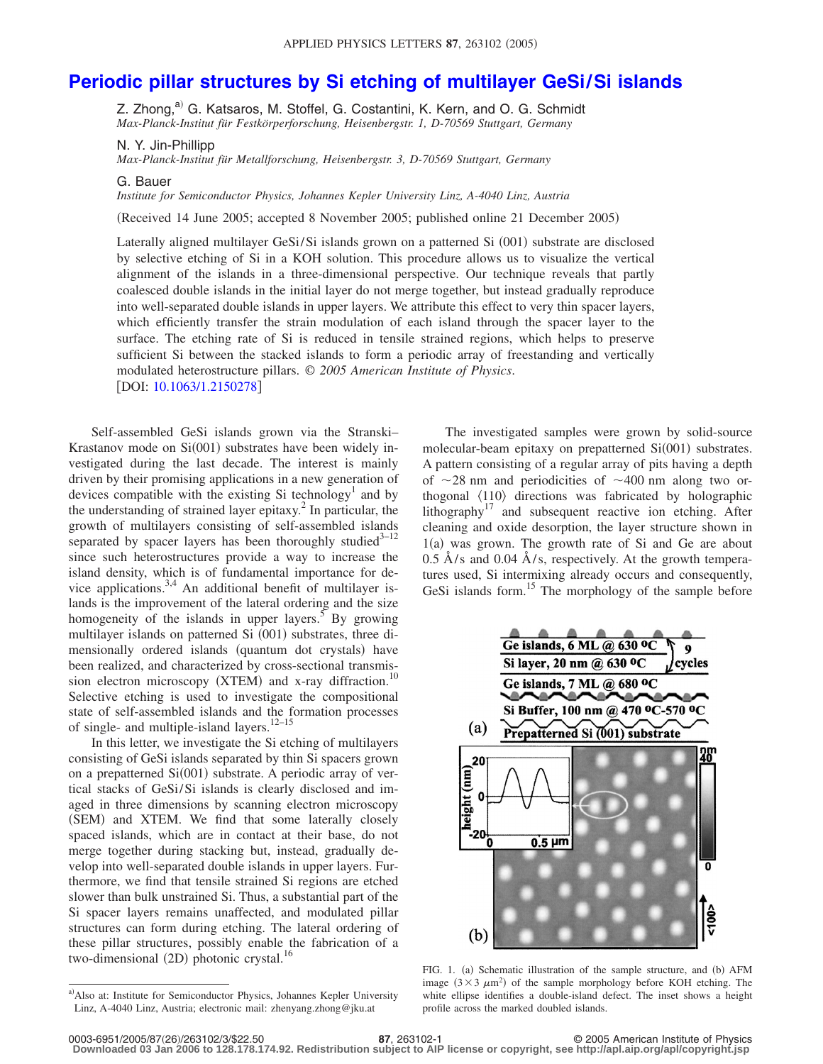## **[Periodic pillar structures by Si etching of multilayer GeSi/Si islands](http://dx.doi.org/10.1063/1.2150278)**

Z. Zhong, $a^0$  G. Katsaros, M. Stoffel, G. Costantini, K. Kern, and O. G. Schmidt *Max-Planck-Institut für Festkörperforschung, Heisenbergstr. 1, D-70569 Stuttgart, Germany*

N. Y. Jin-Phillipp

*Max-Planck-Institut für Metallforschung, Heisenbergstr. 3, D-70569 Stuttgart, Germany*

G. Bauer

*Institute for Semiconductor Physics, Johannes Kepler University Linz, A-4040 Linz, Austria*

Received 14 June 2005; accepted 8 November 2005; published online 21 December 2005-

Laterally aligned multilayer GeSi/Si islands grown on a patterned Si (001) substrate are disclosed by selective etching of Si in a KOH solution. This procedure allows us to visualize the vertical alignment of the islands in a three-dimensional perspective. Our technique reveals that partly coalesced double islands in the initial layer do not merge together, but instead gradually reproduce into well-separated double islands in upper layers. We attribute this effect to very thin spacer layers, which efficiently transfer the strain modulation of each island through the spacer layer to the surface. The etching rate of Si is reduced in tensile strained regions, which helps to preserve sufficient Si between the stacked islands to form a periodic array of freestanding and vertically modulated heterostructure pillars. © *2005 American Institute of Physics*. [DOI: [10.1063/1.2150278](http://dx.doi.org/10.1063/1.2150278)]

Self-assembled GeSi islands grown via the Stranski– Krastanov mode on  $Si(001)$  substrates have been widely investigated during the last decade. The interest is mainly driven by their promising applications in a new generation of devices compatible with the existing Si technology<sup>1</sup> and by the understanding of strained layer epitaxy.<sup>2</sup> In particular, the growth of multilayers consisting of self-assembled islands separated by spacer layers has been thoroughly studied<sup>3-12</sup> since such heterostructures provide a way to increase the island density, which is of fundamental importance for device applications.<sup>3,4</sup> An additional benefit of multilayer islands is the improvement of the lateral ordering and the size homogeneity of the islands in upper layers.<sup>5</sup> By growing multilayer islands on patterned Si (001) substrates, three dimensionally ordered islands (quantum dot crystals) have been realized, and characterized by cross-sectional transmission electron microscopy (XTEM) and x-ray diffraction.<sup>10</sup> Selective etching is used to investigate the compositional state of self-assembled islands and the formation processes of single- and multiple-island layers.<sup>12-15</sup>

In this letter, we investigate the Si etching of multilayers consisting of GeSi islands separated by thin Si spacers grown on a prepatterned Si(001) substrate. A periodic array of vertical stacks of GeSi/Si islands is clearly disclosed and imaged in three dimensions by scanning electron microscopy (SEM) and XTEM. We find that some laterally closely spaced islands, which are in contact at their base, do not merge together during stacking but, instead, gradually develop into well-separated double islands in upper layers. Furthermore, we find that tensile strained Si regions are etched slower than bulk unstrained Si. Thus, a substantial part of the Si spacer layers remains unaffected, and modulated pillar structures can form during etching. The lateral ordering of these pillar structures, possibly enable the fabrication of a two-dimensional (2D) photonic crystal.<sup>16</sup>

The investigated samples were grown by solid-source molecular-beam epitaxy on prepatterned Si(001) substrates. A pattern consisting of a regular array of pits having a depth of  $\sim$ 28 nm and periodicities of  $\sim$ 400 nm along two orthogonal  $\langle 110 \rangle$  directions was fabricated by holographic lithography<sup>17</sup> and subsequent reactive ion etching. After cleaning and oxide desorption, the layer structure shown in 1(a) was grown. The growth rate of Si and Ge are about  $0.5$  Å/s and  $0.04$  Å/s, respectively. At the growth temperatures used, Si intermixing already occurs and consequently, GeSi islands form.<sup>15</sup> The morphology of the sample before



FIG. 1. (a) Schematic illustration of the sample structure, and (b) AFM image  $(3 \times 3 \mu m^2)$  of the sample morphology before KOH etching. The white ellipse identifies a double-island defect. The inset shows a height profile across the marked doubled islands.

**Downloaded 03 Jan 2006 to 128.178.174.92. Redistribution subject to AIP license or copyright, see http://apl.aip.org/apl/copyright.jsp**

a) Also at: Institute for Semiconductor Physics, Johannes Kepler University Linz, A-4040 Linz, Austria; electronic mail: zhenyang.zhong@jku.at

**<sup>87</sup>**, 263102-1 © 2005 American Institute of Physics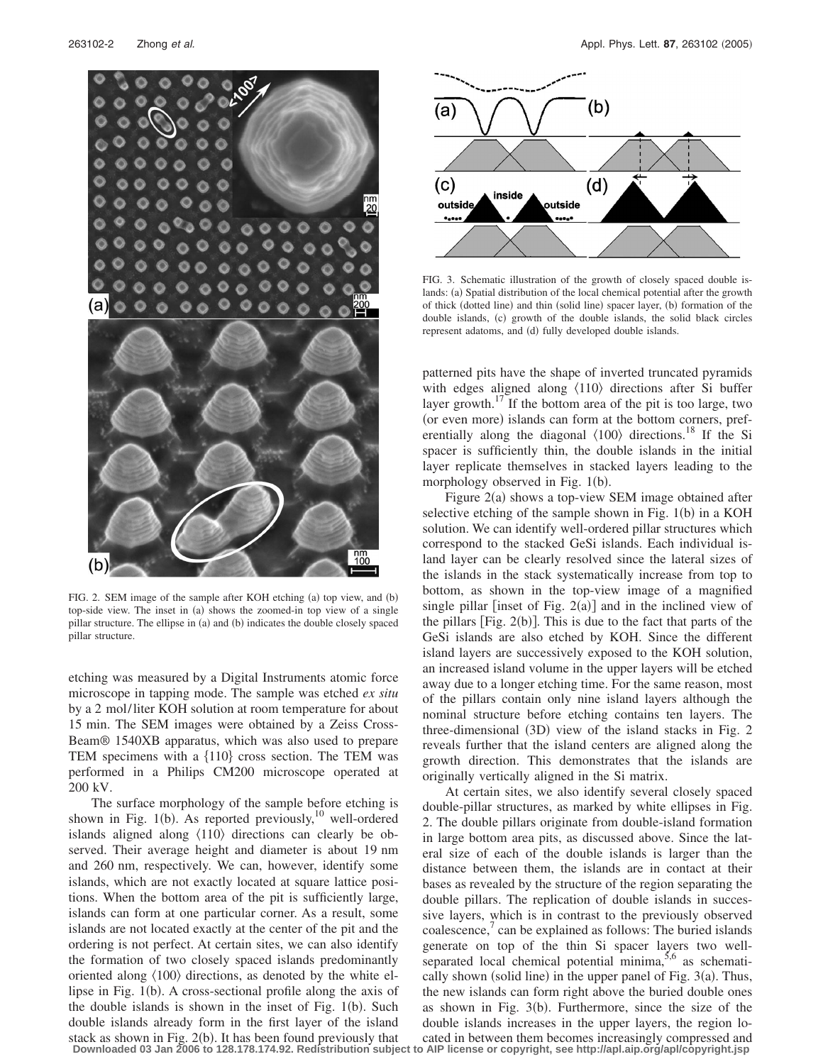

FIG. 2. SEM image of the sample after KOH etching (a) top view, and (b) top-side view. The inset in (a) shows the zoomed-in top view of a single pillar structure. The ellipse in (a) and (b) indicates the double closely spaced pillar structure.

etching was measured by a Digital Instruments atomic force microscope in tapping mode. The sample was etched *ex situ* by a 2 mol/liter KOH solution at room temperature for about 15 min. The SEM images were obtained by a Zeiss Cross-Beam® 1540XB apparatus, which was also used to prepare TEM specimens with a  $\{110\}$  cross section. The TEM was performed in a Philips CM200 microscope operated at 200 kV.

The surface morphology of the sample before etching is shown in Fig. 1(b). As reported previously,<sup>10</sup> well-ordered islands aligned along  $\langle 110 \rangle$  directions can clearly be observed. Their average height and diameter is about 19 nm and 260 nm, respectively. We can, however, identify some islands, which are not exactly located at square lattice positions. When the bottom area of the pit is sufficiently large, islands can form at one particular corner. As a result, some islands are not located exactly at the center of the pit and the ordering is not perfect. At certain sites, we can also identify the formation of two closely spaced islands predominantly oriented along  $\langle 100 \rangle$  directions, as denoted by the white ellipse in Fig. 1(b). A cross-sectional profile along the axis of the double islands is shown in the inset of Fig.  $1(b)$ . Such double islands already form in the first layer of the island stack as shown in Fig. 2(b). It has been found previously that



FIG. 3. Schematic illustration of the growth of closely spaced double islands: (a) Spatial distribution of the local chemical potential after the growth of thick (dotted line) and thin (solid line) spacer layer, (b) formation of the double islands, (c) growth of the double islands, the solid black circles represent adatoms, and (d) fully developed double islands.

patterned pits have the shape of inverted truncated pyramids with edges aligned along  $\langle 110 \rangle$  directions after Si buffer layer growth.<sup>17</sup> If the bottom area of the pit is too large, two (or even more) islands can form at the bottom corners, preferentially along the diagonal  $\langle 100 \rangle$  directions.<sup>18</sup> If the Si spacer is sufficiently thin, the double islands in the initial layer replicate themselves in stacked layers leading to the morphology observed in Fig. 1(b).

Figure 2(a) shows a top-view SEM image obtained after selective etching of the sample shown in Fig.  $1(b)$  in a KOH solution. We can identify well-ordered pillar structures which correspond to the stacked GeSi islands. Each individual island layer can be clearly resolved since the lateral sizes of the islands in the stack systematically increase from top to bottom, as shown in the top-view image of a magnified single pillar [inset of Fig.  $2(a)$ ] and in the inclined view of the pillars  $[Fig. 2(b)]$ . This is due to the fact that parts of the GeSi islands are also etched by KOH. Since the different island layers are successively exposed to the KOH solution, an increased island volume in the upper layers will be etched away due to a longer etching time. For the same reason, most of the pillars contain only nine island layers although the nominal structure before etching contains ten layers. The three-dimensional (3D) view of the island stacks in Fig. 2 reveals further that the island centers are aligned along the growth direction. This demonstrates that the islands are originally vertically aligned in the Si matrix.

At certain sites, we also identify several closely spaced double-pillar structures, as marked by white ellipses in Fig. 2. The double pillars originate from double-island formation in large bottom area pits, as discussed above. Since the lateral size of each of the double islands is larger than the distance between them, the islands are in contact at their bases as revealed by the structure of the region separating the double pillars. The replication of double islands in successive layers, which is in contrast to the previously observed coalescence, $\alpha$  can be explained as follows: The buried islands generate on top of the thin Si spacer layers two wellseparated local chemical potential minima, $5,6$  as schematically shown (solid line) in the upper panel of Fig.  $3(a)$ . Thus, the new islands can form right above the buried double ones as shown in Fig.  $3(b)$ . Furthermore, since the size of the double islands increases in the upper layers, the region located in between them becomes increasingly compressed and

**Downloaded 03 Jan 2006 to 128.178.174.92. Redistribution subject to AIP license or copyright, see http://apl.aip.org/apl/copyright.jsp**